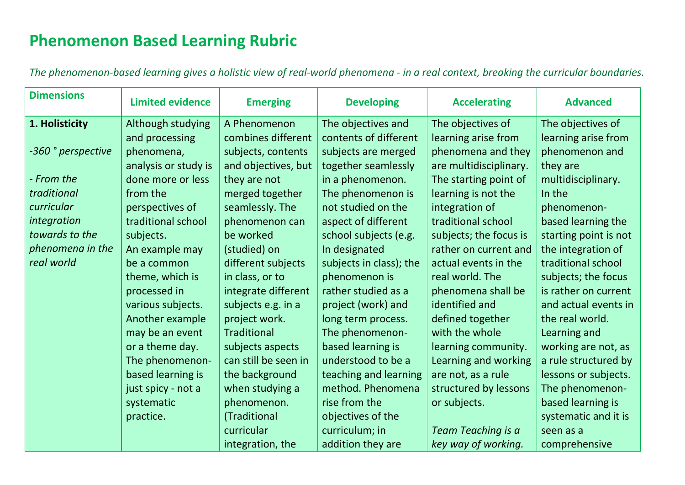## **Phenomenon Based Learning Rubric**

*The phenomenon-based learning gives a holistic view of real-world phenomena - in a real context, breaking the curricular boundaries.*

| <b>Dimensions</b>  | <b>Limited evidence</b> | <b>Emerging</b>      | <b>Developing</b>       | <b>Accelerating</b>    | <b>Advanced</b>       |
|--------------------|-------------------------|----------------------|-------------------------|------------------------|-----------------------|
| 1. Holisticity     | Although studying       | A Phenomenon         | The objectives and      | The objectives of      | The objectives of     |
|                    | and processing          | combines different   | contents of different   | learning arise from    | learning arise from   |
| -360 ° perspective | phenomena,              | subjects, contents   | subjects are merged     | phenomena and they     | phenomenon and        |
|                    | analysis or study is    | and objectives, but  | together seamlessly     | are multidisciplinary. | they are              |
| - From the         | done more or less       | they are not         | in a phenomenon.        | The starting point of  | multidisciplinary.    |
| traditional        | from the                | merged together      | The phenomenon is       | learning is not the    | In the                |
| curricular         | perspectives of         | seamlessly. The      | not studied on the      | integration of         | phenomenon-           |
| integration        | traditional school      | phenomenon can       | aspect of different     | traditional school     | based learning the    |
| towards to the     | subjects.               | be worked            | school subjects (e.g.   | subjects; the focus is | starting point is not |
| phenomena in the   | An example may          | (studied) on         | In designated           | rather on current and  | the integration of    |
| real world         | be a common             | different subjects   | subjects in class); the | actual events in the   | traditional school    |
|                    | theme, which is         | in class, or to      | phenomenon is           | real world. The        | subjects; the focus   |
|                    | processed in            | integrate different  | rather studied as a     | phenomena shall be     | is rather on current  |
|                    | various subjects.       | subjects e.g. in a   | project (work) and      | identified and         | and actual events in  |
|                    | Another example         | project work.        | long term process.      | defined together       | the real world.       |
|                    | may be an event         | <b>Traditional</b>   | The phenomenon-         | with the whole         | Learning and          |
|                    | or a theme day.         | subjects aspects     | based learning is       | learning community.    | working are not, as   |
|                    | The phenomenon-         | can still be seen in | understood to be a      | Learning and working   | a rule structured by  |
|                    | based learning is       | the background       | teaching and learning   | are not, as a rule     | lessons or subjects.  |
|                    | just spicy - not a      | when studying a      | method. Phenomena       | structured by lessons  | The phenomenon-       |
|                    | systematic              | phenomenon.          | rise from the           | or subjects.           | based learning is     |
|                    | practice.               | (Traditional         | objectives of the       |                        | systematic and it is  |
|                    |                         | curricular           | curriculum; in          | Team Teaching is a     | seen as a             |
|                    |                         | integration, the     | addition they are       | key way of working.    | comprehensive         |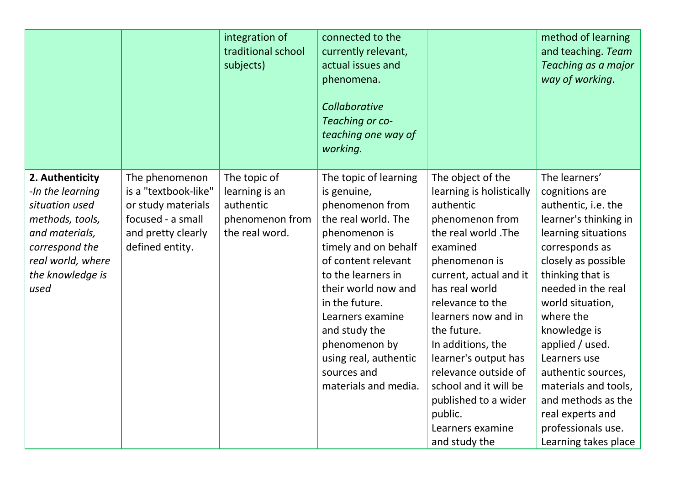|                                                                                                                                                               |                                                                                                                            | integration of<br>traditional school<br>subjects)                                | connected to the<br>currently relevant,<br>actual issues and<br>phenomena.<br>Collaborative<br>Teaching or co-<br>teaching one way of<br>working.                                                                                                                                                                                   |                                                                                                                                                                                                                                                                                                                                                                                                               | method of learning<br>and teaching. Team<br>Teaching as a major<br>way of working.                                                                                                                                                                                                                                                                                                                                  |
|---------------------------------------------------------------------------------------------------------------------------------------------------------------|----------------------------------------------------------------------------------------------------------------------------|----------------------------------------------------------------------------------|-------------------------------------------------------------------------------------------------------------------------------------------------------------------------------------------------------------------------------------------------------------------------------------------------------------------------------------|---------------------------------------------------------------------------------------------------------------------------------------------------------------------------------------------------------------------------------------------------------------------------------------------------------------------------------------------------------------------------------------------------------------|---------------------------------------------------------------------------------------------------------------------------------------------------------------------------------------------------------------------------------------------------------------------------------------------------------------------------------------------------------------------------------------------------------------------|
| 2. Authenticity<br>-In the learning<br>situation used<br>methods, tools,<br>and materials,<br>correspond the<br>real world, where<br>the knowledge is<br>used | The phenomenon<br>is a "textbook-like"<br>or study materials<br>focused - a small<br>and pretty clearly<br>defined entity. | The topic of<br>learning is an<br>authentic<br>phenomenon from<br>the real word. | The topic of learning<br>is genuine,<br>phenomenon from<br>the real world. The<br>phenomenon is<br>timely and on behalf<br>of content relevant<br>to the learners in<br>their world now and<br>in the future.<br>Learners examine<br>and study the<br>phenomenon by<br>using real, authentic<br>sources and<br>materials and media. | The object of the<br>learning is holistically<br>authentic<br>phenomenon from<br>the real world. The<br>examined<br>phenomenon is<br>current, actual and it<br>has real world<br>relevance to the<br>learners now and in<br>the future.<br>In additions, the<br>learner's output has<br>relevance outside of<br>school and it will be<br>published to a wider<br>public.<br>Learners examine<br>and study the | The learners'<br>cognitions are<br>authentic, i.e. the<br>learner's thinking in<br>learning situations<br>corresponds as<br>closely as possible<br>thinking that is<br>needed in the real<br>world situation,<br>where the<br>knowledge is<br>applied / used.<br>Learners use<br>authentic sources,<br>materials and tools,<br>and methods as the<br>real experts and<br>professionals use.<br>Learning takes place |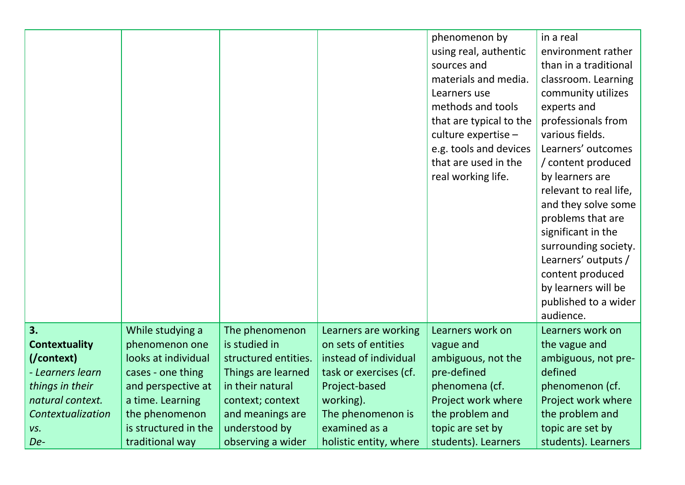|                      |                      |                      |                        | phenomenon by<br>using real, authentic<br>sources and<br>materials and media.<br>Learners use<br>methods and tools | in a real<br>environment rather<br>than in a traditional<br>classroom. Learning<br>community utilizes<br>experts and |
|----------------------|----------------------|----------------------|------------------------|--------------------------------------------------------------------------------------------------------------------|----------------------------------------------------------------------------------------------------------------------|
|                      |                      |                      |                        | that are typical to the                                                                                            | professionals from                                                                                                   |
|                      |                      |                      |                        | culture expertise -                                                                                                | various fields.                                                                                                      |
|                      |                      |                      |                        | e.g. tools and devices                                                                                             | Learners' outcomes                                                                                                   |
|                      |                      |                      |                        | that are used in the                                                                                               | / content produced                                                                                                   |
|                      |                      |                      |                        | real working life.                                                                                                 | by learners are                                                                                                      |
|                      |                      |                      |                        |                                                                                                                    | relevant to real life,                                                                                               |
|                      |                      |                      |                        |                                                                                                                    | and they solve some                                                                                                  |
|                      |                      |                      |                        |                                                                                                                    | problems that are                                                                                                    |
|                      |                      |                      |                        |                                                                                                                    | significant in the                                                                                                   |
|                      |                      |                      |                        |                                                                                                                    | surrounding society.<br>Learners' outputs /                                                                          |
|                      |                      |                      |                        |                                                                                                                    | content produced                                                                                                     |
|                      |                      |                      |                        |                                                                                                                    | by learners will be                                                                                                  |
|                      |                      |                      |                        |                                                                                                                    | published to a wider                                                                                                 |
|                      |                      |                      |                        |                                                                                                                    | audience.                                                                                                            |
| 3.                   | While studying a     | The phenomenon       | Learners are working   | Learners work on                                                                                                   | Learners work on                                                                                                     |
| <b>Contextuality</b> | phenomenon one       | is studied in        | on sets of entities    | vague and                                                                                                          | the vague and                                                                                                        |
| (/context)           | looks at individual  | structured entities. | instead of individual  | ambiguous, not the                                                                                                 | ambiguous, not pre-                                                                                                  |
| - Learners learn     | cases - one thing    | Things are learned   | task or exercises (cf. | pre-defined                                                                                                        | defined                                                                                                              |
| things in their      | and perspective at   | in their natural     | Project-based          | phenomena (cf.                                                                                                     | phenomenon (cf.                                                                                                      |
| natural context.     | a time. Learning     | context; context     | working).              | Project work where                                                                                                 | Project work where                                                                                                   |
| Contextualization    | the phenomenon       | and meanings are     | The phenomenon is      | the problem and                                                                                                    | the problem and                                                                                                      |
| VS.                  | is structured in the | understood by        | examined as a          | topic are set by                                                                                                   | topic are set by                                                                                                     |
| De-                  | traditional way      | observing a wider    | holistic entity, where | students). Learners                                                                                                | students). Learners                                                                                                  |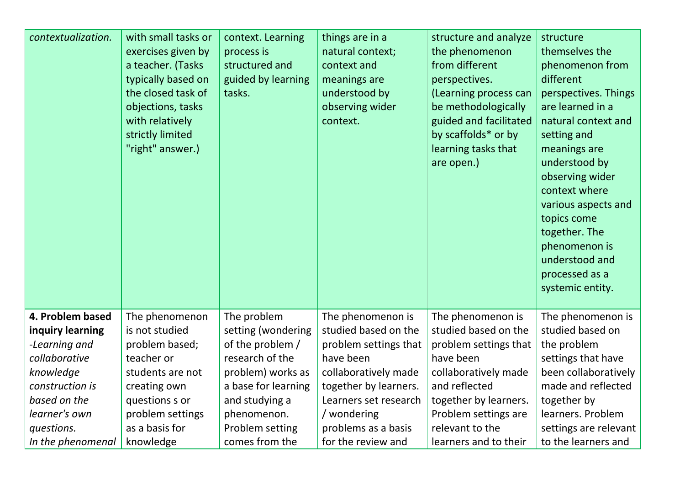| contextualization. | with small tasks or<br>exercises given by<br>a teacher. (Tasks<br>typically based on<br>the closed task of<br>objections, tasks<br>with relatively<br>strictly limited<br>"right" answer.) | context. Learning<br>process is<br>structured and<br>guided by learning<br>tasks. | things are in a<br>natural context;<br>context and<br>meanings are<br>understood by<br>observing wider<br>context. | structure and analyze<br>the phenomenon<br>from different<br>perspectives.<br>(Learning process can<br>be methodologically<br>guided and facilitated<br>by scaffolds* or by<br>learning tasks that<br>are open.) | structure<br>themselves the<br>phenomenon from<br>different<br>perspectives. Things<br>are learned in a<br>natural context and<br>setting and<br>meanings are<br>understood by<br>observing wider<br>context where<br>various aspects and<br>topics come<br>together. The<br>phenomenon is<br>understood and<br>processed as a<br>systemic entity. |
|--------------------|--------------------------------------------------------------------------------------------------------------------------------------------------------------------------------------------|-----------------------------------------------------------------------------------|--------------------------------------------------------------------------------------------------------------------|------------------------------------------------------------------------------------------------------------------------------------------------------------------------------------------------------------------|----------------------------------------------------------------------------------------------------------------------------------------------------------------------------------------------------------------------------------------------------------------------------------------------------------------------------------------------------|
| 4. Problem based   | The phenomenon                                                                                                                                                                             | The problem                                                                       | The phenomenon is                                                                                                  | The phenomenon is                                                                                                                                                                                                | The phenomenon is                                                                                                                                                                                                                                                                                                                                  |
| inquiry learning   | is not studied                                                                                                                                                                             | setting (wondering                                                                | studied based on the                                                                                               | studied based on the                                                                                                                                                                                             | studied based on                                                                                                                                                                                                                                                                                                                                   |
| -Learning and      | problem based;                                                                                                                                                                             | of the problem /                                                                  | problem settings that                                                                                              | problem settings that                                                                                                                                                                                            | the problem                                                                                                                                                                                                                                                                                                                                        |
| collaborative      | teacher or                                                                                                                                                                                 | research of the                                                                   | have been                                                                                                          | have been                                                                                                                                                                                                        | settings that have                                                                                                                                                                                                                                                                                                                                 |
| knowledge          | students are not                                                                                                                                                                           | problem) works as                                                                 | collaboratively made                                                                                               | collaboratively made                                                                                                                                                                                             | been collaboratively                                                                                                                                                                                                                                                                                                                               |
| construction is    | creating own                                                                                                                                                                               | a base for learning                                                               | together by learners.                                                                                              | and reflected                                                                                                                                                                                                    | made and reflected                                                                                                                                                                                                                                                                                                                                 |
| based on the       | questions s or                                                                                                                                                                             | and studying a                                                                    | Learners set research                                                                                              | together by learners.                                                                                                                                                                                            | together by                                                                                                                                                                                                                                                                                                                                        |
| learner's own      | problem settings                                                                                                                                                                           | phenomenon.                                                                       | / wondering                                                                                                        | Problem settings are                                                                                                                                                                                             | learners. Problem                                                                                                                                                                                                                                                                                                                                  |
| questions.         | as a basis for                                                                                                                                                                             | Problem setting                                                                   | problems as a basis                                                                                                | relevant to the                                                                                                                                                                                                  | settings are relevant                                                                                                                                                                                                                                                                                                                              |
| In the phenomenal  | knowledge                                                                                                                                                                                  | comes from the                                                                    | for the review and                                                                                                 | learners and to their                                                                                                                                                                                            | to the learners and                                                                                                                                                                                                                                                                                                                                |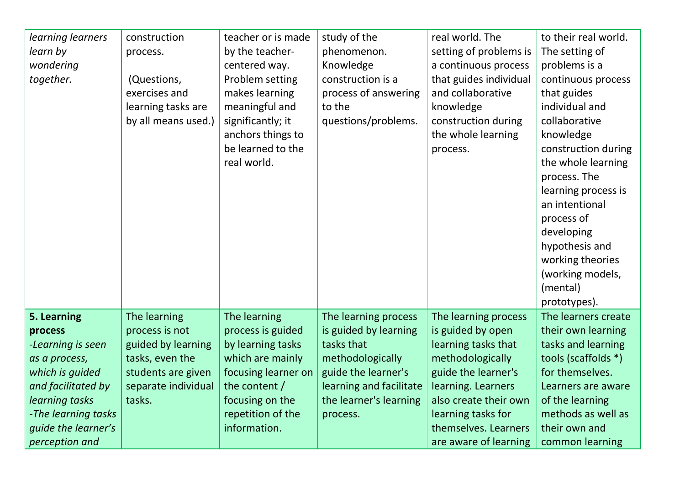| learning learners          | construction        | teacher or is made  | study of the            | real world. The        | to their real world. |
|----------------------------|---------------------|---------------------|-------------------------|------------------------|----------------------|
| learn by                   | process.            | by the teacher-     | phenomenon.             | setting of problems is | The setting of       |
| wondering                  |                     | centered way.       | Knowledge               | a continuous process   | problems is a        |
| together.                  | (Questions,         | Problem setting     | construction is a       | that guides individual | continuous process   |
|                            | exercises and       | makes learning      | process of answering    | and collaborative      | that guides          |
|                            | learning tasks are  | meaningful and      | to the                  | knowledge              | individual and       |
|                            | by all means used.) | significantly; it   | questions/problems.     | construction during    | collaborative        |
|                            |                     | anchors things to   |                         | the whole learning     | knowledge            |
|                            |                     | be learned to the   |                         | process.               | construction during  |
|                            |                     | real world.         |                         |                        | the whole learning   |
|                            |                     |                     |                         |                        | process. The         |
|                            |                     |                     |                         |                        | learning process is  |
|                            |                     |                     |                         |                        | an intentional       |
|                            |                     |                     |                         |                        | process of           |
|                            |                     |                     |                         |                        | developing           |
|                            |                     |                     |                         |                        | hypothesis and       |
|                            |                     |                     |                         |                        | working theories     |
|                            |                     |                     |                         |                        | (working models,     |
|                            |                     |                     |                         |                        | (mental)             |
|                            |                     |                     |                         |                        | prototypes).         |
| 5. Learning                | The learning        | The learning        | The learning process    | The learning process   | The learners create  |
| process                    | process is not      | process is guided   | is guided by learning   | is guided by open      | their own learning   |
| -Learning is seen          | guided by learning  | by learning tasks   | tasks that              | learning tasks that    | tasks and learning   |
| as a process,              | tasks, even the     | which are mainly    | methodologically        | methodologically       | tools (scaffolds *)  |
| which is guided            | students are given  | focusing learner on | guide the learner's     | guide the learner's    | for themselves.      |
| and facilitated by         | separate individual | the content /       | learning and facilitate | learning. Learners     | Learners are aware   |
| learning tasks             | tasks.              | focusing on the     | the learner's learning  | also create their own  | of the learning      |
| -The learning tasks        |                     | repetition of the   | process.                | learning tasks for     | methods as well as   |
| <i>guide the learner's</i> |                     | information.        |                         | themselves. Learners   | their own and        |
| perception and             |                     |                     |                         | are aware of learning  | common learning      |